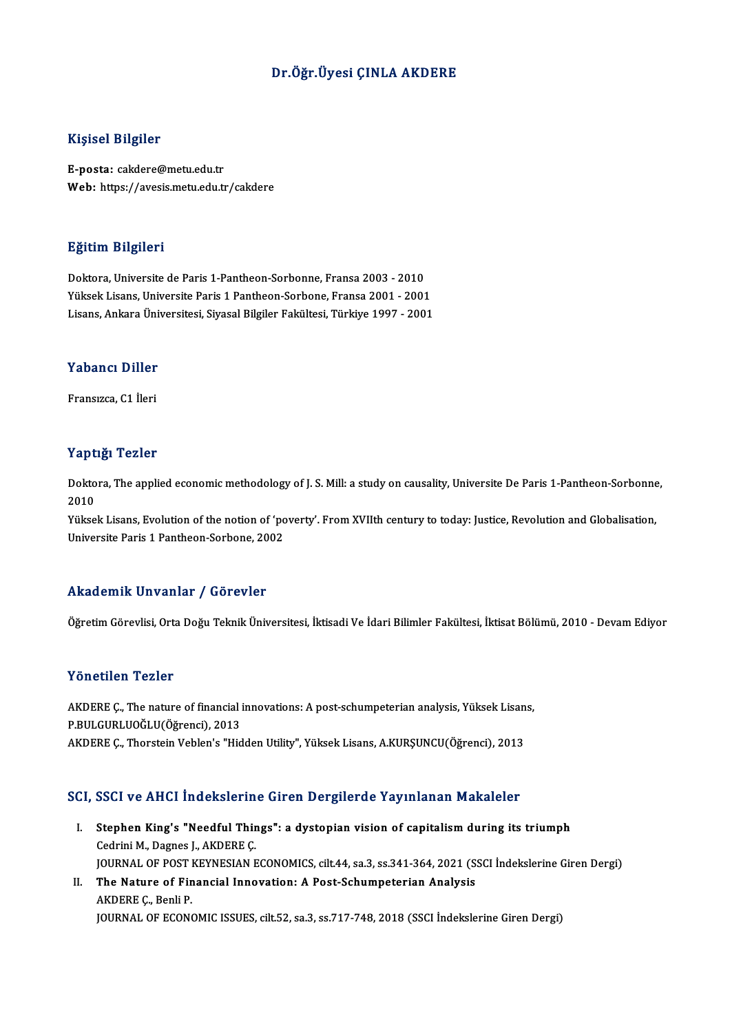## Dr.Öğr.Üyesi ÇINLA AKDERE

## Kişisel Bilgiler

E-posta: cakdere@metu.edu.tr Web: https://avesis.metu.edu.tr/cakdere

### Eğitim Bilgileri

Doktora,Universite deParis1-Pantheon-Sorbonne,Fransa 2003 -2010 Yüksek Lisans, Universite Paris 1 Pantheon-Sorbone, Fransa 2001 - 2001 Lisans,AnkaraÜniversitesi,SiyasalBilgiler Fakültesi,Türkiye 1997 -2001

## Lisans, Ankara Uni<br>Yabancı Diller Y<mark>abancı Diller</mark><br>Fransızca, C1 İleri

## Fransızca, C1 İleri<br>Yaptığı Tezler

Yaptığı Tezler<br>Doktora, The applied economic methodology of J. S. Mill: a study on causality, Universite De Paris 1-Pantheon-Sorbonne,<br>2010 2 ape<br>Dokto<br>2010<br><sup>Vülsse</sup> Doktora, The applied economic methodology of J. S. Mill: a study on causality, Universite De Paris 1-Pantheon-Sorbonne<br>2010<br>Yüksek Lisans, Evolution of the notion of 'poverty'. From XVIIth century to today: Justice, Revolu

2010<br>Yüksek Lisans, Evolution of the notion of 'poverty'. From XVIIth century to today: Justice, Revolution and Globalisation,<br>Universite Paris 1 Pantheon-Sorbone. 2002

### Akademik Unvanlar / Görevler

Öğretim Görevlisi, Orta Doğu Teknik Üniversitesi, İktisadi Ve İdari Bilimler Fakültesi, İktisat Bölümü, 2010 - Devam Ediyor

## Yönetilen Tezler

Yönetilen Tezler<br>AKDERE Ç., The nature of financial innovations: A post-schumpeterian analysis, Yüksek Lisans,<br>R.P.U. CURLUQĞLU(Öğrensi), 2012 P.BUCCHELL P.BUC.<br>AKDERE Ç., The nature of financial i<br>P.BULGURLUOĞLU(Öğrenci), 2013<br>AKDERE C. Therstein Veblen's "Hid AKDERE Ç., The nature of financial innovations: A post-schumpeterian analysis, Yüksek Lisan<br>P.BULGURLUOĞLU(Öğrenci), 2013<br>AKDERE Ç., Thorstein Veblen's "Hidden Utility", Yüksek Lisans, A.KURŞUNCU(Öğrenci), 2013 AKDERE Ç., Thorstein Veblen's "Hidden Utility", Yüksek Lisans, A.KURŞUNCU(Öğrenci), 2013<br>SCI, SSCI ve AHCI İndekslerine Giren Dergilerde Yayınlanan Makaleler

- CI, SSCI ve AHCI İndekslerine Giren Dergilerde Yayınlanan Makaleler<br>I. Stephen King's "Needful Things": a dystopian vision of capitalism during its triumph<br>Cedrini M. Dagnes LAKDERE C SECT VE TITLET INCENDED IN<br>Stephen King's "Needful Thir<br>Cedrini M., Dagnes J., AKDERE Ç.<br>JOUPNAL OF POST KEYNESIAN E Cedrini M., Dagnes J., AKDERE Ç.<br>JOURNAL OF POST KEYNESIAN ECONOMICS, cilt.44, sa.3, ss.341-364, 2021 (SSCI İndekslerine Giren Dergi) Cedrini M., Dagnes J., AKDERE Ç.<br>JOURNAL OF POST KEYNESIAN ECONOMICS, cilt.44, sa.3, ss.341-364, 2021 (S.<br>II. The Nature of Financial Innovation: A Post-Schumpeterian Analysis<br>AKDERE C. Popli P. **JOURNAL OF POST I<br>The Nature of Fin<br>AKDERE Ç., Benli P.<br>JOUPNAL OF ECON**
- AKDERE Ç., Benli P.<br>JOURNAL OF ECONOMIC ISSUES, cilt.52, sa.3, ss.717-748, 2018 (SSCI İndekslerine Giren Dergi)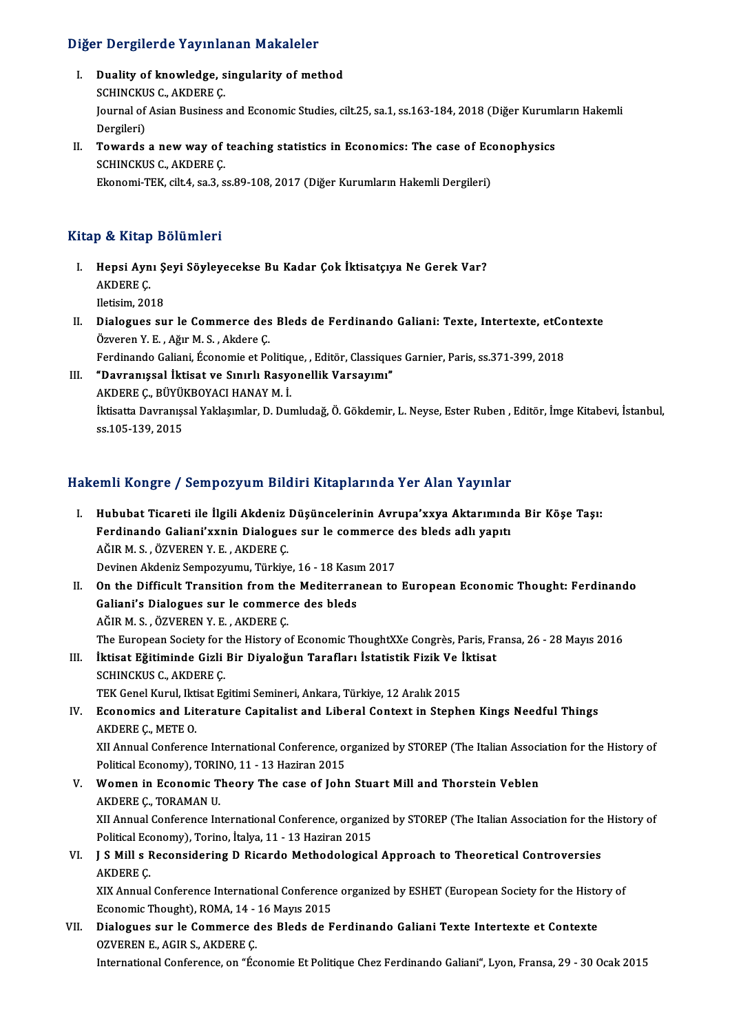# Diğer Dergilerde Yayınlanan Makaleler<br>

- Iger Dergilerde Yayınlanan Makaleler<br>I. Duality of knowledge, singularity of method I. Duality of knowledge, singularity of method Journal of Asian Business and Economic Studies, cilt.25, sa.1, ss.163-184, 2018 (Diğer Kurumların Hakemli Dergileri) SCHINCKUS C., AKDERE C. Journal of Asian Business and Economic Studies, cilt.25, sa.1, ss.163-184, 2018 (Diğer Kurum)<br>Dergileri)<br>II. Towards a new way of teaching statistics in Economics: The case of Econophysics<br>SCUINCKUS C. AKDERE C
- Dergileri)<br>Towards a new way of<br>SCHINCKUS C., AKDERE Ç.<br>Ekonomi TEK, cilt 4, sa 3, s Towards a new way of teaching statistics in Economics: The case of Ec<br>SCHINCKUS C., AKDERE Ç.<br>Ekonomi-TEK, cilt.4, sa.3, ss.89-108, 2017 (Diğer Kurumların Hakemli Dergileri) Ekonomi-TEK, cilt.4, sa.3, ss.89-108, 2017 (Diğer Kurumların Hakemli Dergileri)<br>Kitap & Kitap Bölümleri

- itap & Kitap Bölümleri<br>I. Hepsi Aynı Şeyi Söyleyecekse Bu Kadar Çok İktisatçıya Ne Gerek Var?<br>AKDERE C p & Artup<br>Hepsi Ayn<br>AKDERE Ç. Hepsi Aynı Ş<br>AKDERE Ç.<br>Iletisim, 2018<br>Dialogues au AKDERE Ç.<br>Iletisim, 2018<br>II. Dialogues sur le Commerce des Bleds de Ferdinando Galiani: Texte, Intertexte, etContexte<br>Ömionon V. E. Ažur M. S. Akdere C.
- Iletisim, 2018<br>Dialogues sur le Commerce des<br>Özveren Y.E., Ağır M.S., Akdere Ç.<br>Ferdinande Celiani, Ésenemie et Pe Dialogues sur le Commerce des Bleds de Ferdinando Galiani: Texte, Intertexte, etCo<br>Özveren Y. E. , Ağır M. S. , Akdere Ç.<br>Ferdinando Galiani, Économie et Politique, , Editör, Classiques Garnier, Paris, ss.371-399, 2018<br>"Da Özveren Y. E. , Ağır M. S. , Akdere Ç.<br>Ferdinando Galiani, Économie et Politique, , Editör, Classiques Garnier, Paris, ss.371-399, 2018<br>III. "Davranışsal İktisat ve Sınırlı Rasyonellik Varsayımı"
- Ferdinando Galiani, Économie et Politiq<br>**"Davranışsal İktisat ve Sınırlı Rasy**o<br>AKDERE Ç., BÜYÜKBOYACI HANAY M. İ.<br>İktisatta Davranıssal Yaklasımlar, D. Dur İktisatta Davranışsal Yaklaşımlar, D. Dumludağ, Ö. Gökdemir, L. Neyse, Ester Ruben , Editör, İmge Kitabevi, İstanbul,<br>ss.105-139, 2015 AKDERE Ç., BÜYÜl<br>İktisatta Davranışs<br>ss.105-139, 2015

## Hakemli Kongre / Sempozyum Bildiri Kitaplarında Yer Alan Yayınlar

- akemli Kongre / Sempozyum Bildiri Kitaplarında Yer Alan Yayınlar<br>I. Hububat Ticareti ile İlgili Akdeniz Düşüncelerinin Avrupa'xxya Aktarımında Bir Köşe Taşı:<br>Ferdinande Calieni'yunin Dialegues sur le semmerse des blede adl Finando Galiani'xxnin Dialogues sur le commerce des bleds adlı yapıtı<br>Ferdinando Galiani'xxnin Dialogues sur le commerce des bleds adlı yapıtı Hububat Ticareti ile İlgili Akdeniz<br>Ferdinando Galiani'xxnin Dialogue<br>AĞIR M. S. , ÖZVEREN Y. E. , AKDERE Ç.<br>Devinen Akdeniz Semnewumu, Türkiye Ferdinando Galiani'xxnin Dialogues sur le commerce des bleds adlı yapıtı<br>AĞIR M. S., ÖZVEREN Y. E., AKDERE Ç.<br>Devinen Akdeniz Sempozyumu, Türkiye, 16 - 18 Kasım 2017 AĞIR M. S. , ÖZVEREN Y. E. , AKDERE Ç.<br>Devinen Akdeniz Sempozyumu, Türkiye, 16 - 18 Kasım 2017<br>II. On the Difficult Transition from the Mediterranean to European Economic Thought: Ferdinando<br>Celiani'e Dielegues aur la semm Devinen Akdeniz Sempozyumu, Türkiye, 16 - 18 Kası<br>On the Difficult Transition from the Mediterrar<br>Galiani's Dialogues sur le commerce des bleds<br>AČIP M.S. ÖZVEREN V.E. AKDERE C On the Difficult Transition from th<br>Galiani's Dialogues sur le commer<br>AĞIR M. S. , ÖZVEREN Y. E. , AKDERE Ç.<br>The European Society for the History o Galiani's Dialogues sur le commerce des bleds<br>AĞIR M. S. , ÖZVEREN Y. E. , AKDERE Ç.<br>The European Society for the History of Economic ThoughtXXe Congrès, Paris, Fransa, 26 - 28 Mayıs 2016 AĞIR M. S. , ÖZVEREN Y. E. , AKDERE Ç.<br>The European Society for the History of Economic ThoughtXXe Congrès, Paris, Fr<br>III. İktisat Eğitiminde Gizli Bir Diyaloğun Tarafları İstatistik Fizik Ve İktisat<br>SCHINCKUS C. AKDERE C The European Society for<br>İktisat Eğitiminde Gizli<br>SCHINCKUS C., AKDERE Ç.<br>TEK Conel Kurul Iktisat Eq İktisat Eğitiminde Gizli Bir Diyaloğun Tarafları İstatistik Fizik Ve İ<br>SCHINCKUS C., AKDERE Ç.<br>TEK Genel Kurul, Iktisat Egitimi Semineri, Ankara, Türkiye, 12 Aralık 2015<br>Feonomics and Literature Conitalist and Liberal Cont SCHINCKUS C., AKDERE Ç.<br>TEK Genel Kurul, Iktisat Egitimi Semineri, Ankara, Türkiye, 12 Aralık 2015<br>IV. Economics and Literature Capitalist and Liberal Context in Stephen Kings Needful Things<br>AKDERE Ç., METE O. TEK Genel Kurul, Iktisat Egitimi Semineri, Ankara, Türkiye, 12 Aralık 2015 Economics and Literature Capitalist and Liberal Context in Stephen Kings Needful Things<br>AKDERE Ç., METE O.<br>XII Annual Conference International Conference, organized by STOREP (The Italian Association for the History of<br>Pol AKDERE Ç., METE O.<br>XII Annual Conference International Conference, of<br>Political Economy), TORINO, 11 - 13 Haziran 2015<br>Wemen in Esonomis Theory, The sase of John XII Annual Conference International Conference, organized by STOREP (The Italian Associngle Political Economy), TORINO, 11 - 13 Haziran 2015<br>V. Women in Economic Theory The case of John Stuart Mill and Thorstein Veblen<br>AKD Political Economy), TORII<br>Women in Economic T<br>AKDERE Ç., TORAMAN U.<br>YU Annual Conforence In AKDERE Ç., TORAMAN U.<br>XII Annual Conference International Conference, organized by STOREP (The Italian Association for the History of AKDERE Ç., TORAMAN U.<br>XII Annual Conference International Conference, organiz<br>Political Economy), Torino, İtalya, 11 - 13 Haziran 2015<br>L.S.Mill.g Rosanaidering D. Bisande Methodelegiae VI. J SMil s Reconsidering D Ricardo Methodological Approach to Theoretical Controversies Political Eco<br>**J S Mill s F**<br>AKDERE Ç.<br>YIX Annual **J S Mill s Reconsidering D Ricardo Methodological Approach to Theoretical Controversies<br>AKDERE Ç.<br>XIX Annual Conference International Conference organized by ESHET (European Society for the History of<br>Feonomia Thought), P** AKDERE Ç.<br>XIX Annual Conference International Conference<br>Economic Thought), ROMA, 14 - 16 Mayıs 2015<br>Dialogues sur le Commerse des Bleds de E XIX Annual Conference International Conference organized by ESHET (European Society for the Histo<br>Economic Thought), ROMA, 14 - 16 Mayıs 2015<br>VII. Dialogues sur le Commerce des Bleds de Ferdinando Galiani Texte Intertexte
- Economic Thought), ROMA, 14 16 Mayıs 2015<br>Dialogues sur le Commerce des Bleds de Ferdinando Galiani Texte Intertexte et Contexte<br>OZVEREN E., AGIR S., AKDERE Ç. International Conference, on "Économie Et Politique Chez Ferdinando Galiani", Lyon, Fransa, 29 - 30 Ocak 2015